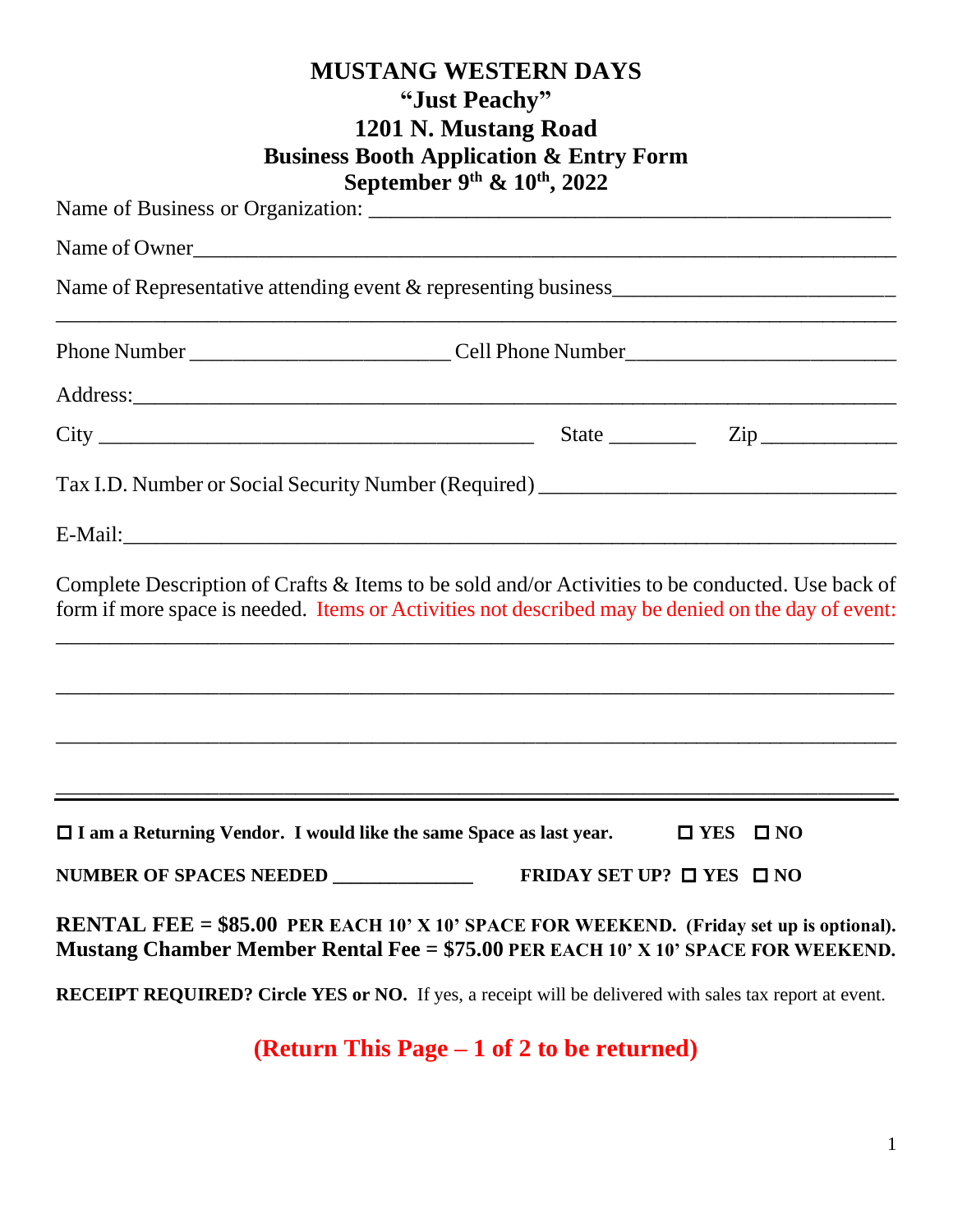|                                                                                                                                                                                                        | <b>MUSTANG WESTERN DAYS</b><br>"Just Peachy"<br>1201 N. Mustang Road<br><b>Business Booth Application &amp; Entry Form</b><br>September 9th $\&$ 10th, 2022 |                                                     |
|--------------------------------------------------------------------------------------------------------------------------------------------------------------------------------------------------------|-------------------------------------------------------------------------------------------------------------------------------------------------------------|-----------------------------------------------------|
|                                                                                                                                                                                                        |                                                                                                                                                             |                                                     |
| Name of Owner                                                                                                                                                                                          |                                                                                                                                                             |                                                     |
|                                                                                                                                                                                                        |                                                                                                                                                             |                                                     |
|                                                                                                                                                                                                        |                                                                                                                                                             |                                                     |
|                                                                                                                                                                                                        |                                                                                                                                                             |                                                     |
|                                                                                                                                                                                                        |                                                                                                                                                             | State $\frac{1}{\sqrt{2np}}$ $\frac{1}{\sqrt{2np}}$ |
| Tax I.D. Number or Social Security Number (Required) ___________________________                                                                                                                       |                                                                                                                                                             |                                                     |
|                                                                                                                                                                                                        |                                                                                                                                                             |                                                     |
| Complete Description of Crafts & Items to be sold and/or Activities to be conducted. Use back of<br>form if more space is needed. Items or Activities not described may be denied on the day of event: |                                                                                                                                                             |                                                     |
|                                                                                                                                                                                                        |                                                                                                                                                             |                                                     |
| $\Box$ I am a Returning Vendor. I would like the same Space as last year.                                                                                                                              |                                                                                                                                                             | $\square$ YES<br>$\square$ NO                       |
| NUMBER OF SPACES NEEDED _____________                                                                                                                                                                  |                                                                                                                                                             | FRIDAY SET UP? $\Box$ YES $\Box$ NO                 |
| <b>RENTAL FEE = <math>\$85.00</math> PER EACH 10' X 10' SPACE FOR WEEKEND.</b> (Friday set up is optional).<br>Mustang Chamber Member Rental Fee = $$75.00$ PER EACH 10' X 10' SPACE FOR WEEKEND.      |                                                                                                                                                             |                                                     |
| <b>RECEIPT REQUIRED?</b> Circle YES or NO. If yes, a receipt will be delivered with sales tax report at event.                                                                                         |                                                                                                                                                             |                                                     |
|                                                                                                                                                                                                        | (Return This Page $-1$ of 2 to be returned)                                                                                                                 |                                                     |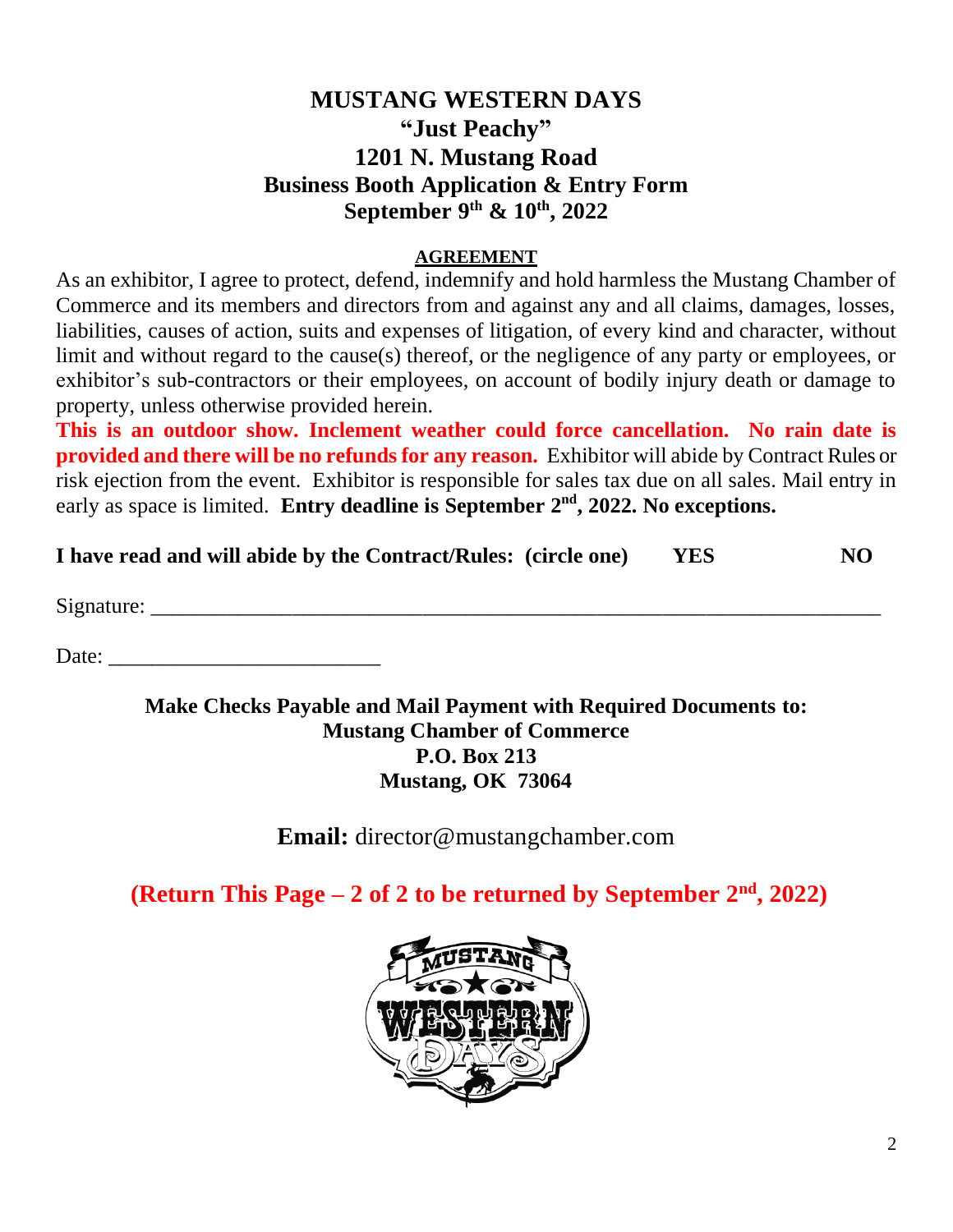## **MUSTANG WESTERN DAYS "Just Peachy" 1201 N. Mustang Road Business Booth Application & Entry Form September 9 th & 10th, 2022**

## **AGREEMENT**

As an exhibitor, I agree to protect, defend, indemnify and hold harmless the Mustang Chamber of Commerce and its members and directors from and against any and all claims, damages, losses, liabilities, causes of action, suits and expenses of litigation, of every kind and character, without limit and without regard to the cause(s) thereof, or the negligence of any party or employees, or exhibitor's sub-contractors or their employees, on account of bodily injury death or damage to property, unless otherwise provided herein.

**This is an outdoor show. Inclement weather could force cancellation. No rain date is provided and there will be no refunds for any reason.** Exhibitor will abide by Contract Rules or risk ejection from the event. Exhibitor is responsible for sales tax due on all sales. Mail entry in early as space is limited. **Entry deadline is September 2<sup>nd</sup>, 2022. No exceptions.** 

| I have read and will abide by the Contract/Rules: (circle one) | <b>YES</b> | NO- |
|----------------------------------------------------------------|------------|-----|
|                                                                |            |     |

Signature:

Date: \_\_\_\_\_\_\_\_\_\_\_\_\_\_\_\_\_\_\_\_\_\_\_\_\_

**Make Checks Payable and Mail Payment with Required Documents to: Mustang Chamber of Commerce P.O. Box 213 Mustang, OK 73064**

**Email:** [director@mustangchamber.com](mailto:director@mustangchamber.com)

**(Return This Page – 2 of 2 to be returned by September 2 nd, 2022)**